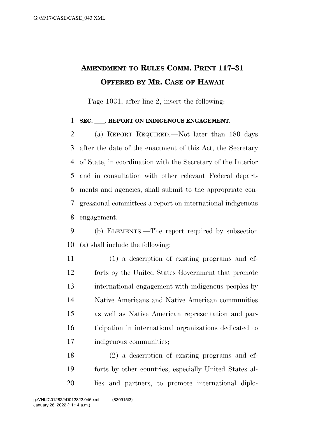## **AMENDMENT TO RULES COMM. PRINT 117–31 OFFERED BY MR. CASE OF HAWAII**

Page 1031, after line 2, insert the following:

## **SEC.** ll**. REPORT ON INDIGENOUS ENGAGEMENT.**

 (a) REPORT REQUIRED.—Not later than 180 days after the date of the enactment of this Act, the Secretary of State, in coordination with the Secretary of the Interior and in consultation with other relevant Federal depart- ments and agencies, shall submit to the appropriate con- gressional committees a report on international indigenous engagement.

 (b) ELEMENTS.—The report required by subsection (a) shall include the following:

 (1) a description of existing programs and ef- forts by the United States Government that promote international engagement with indigenous peoples by Native Americans and Native American communities as well as Native American representation and par- ticipation in international organizations dedicated to indigenous communities;

 (2) a description of existing programs and ef- forts by other countries, especially United States al-lies and partners, to promote international diplo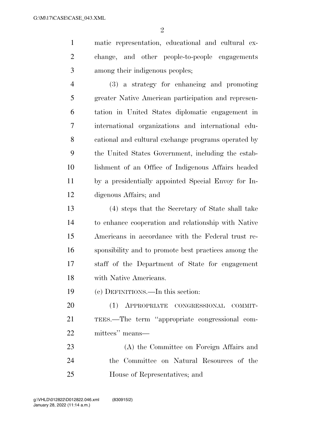$\mathfrak{D}$ 

 matic representation, educational and cultural ex- change, and other people-to-people engagements among their indigenous peoples;

 (3) a strategy for enhancing and promoting greater Native American participation and represen- tation in United States diplomatic engagement in international organizations and international edu- cational and cultural exchange programs operated by the United States Government, including the estab- lishment of an Office of Indigenous Affairs headed by a presidentially appointed Special Envoy for In-digenous Affairs; and

 (4) steps that the Secretary of State shall take to enhance cooperation and relationship with Native Americans in accordance with the Federal trust re- sponsibility and to promote best practices among the staff of the Department of State for engagement with Native Americans.

(c) DEFINITIONS.—In this section:

 (1) APPROPRIATE CONGRESSIONAL COMMIT- TEES.—The term ''appropriate congressional com-mittees'' means—

 (A) the Committee on Foreign Affairs and the Committee on Natural Resources of the House of Representatives; and